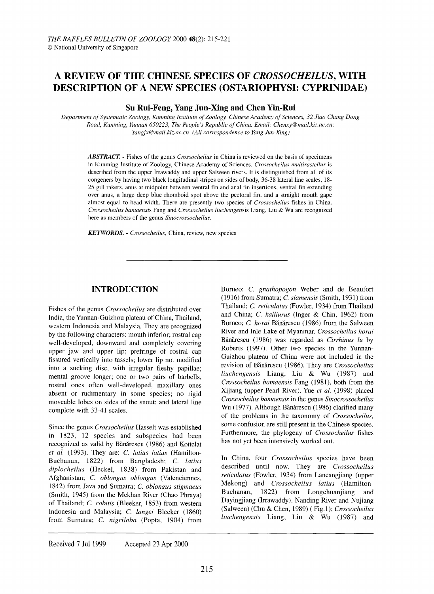# A **REVIEW OF THE CHINESE SPECIES OF** *CROSSOCHEILUS,* **WITH DESCRIPTION OF A NEW SPECIES (OSTARIOPHYSI: CYPRINIDAE)**

# **Su Rui-Feng, Yang Jun-Xing and Chen Yin-Rui**

*Department ofSystematic Zoology, Kunming Institute ofZoology, Chinese Academy ofSciences,* 32 *Jiao Chang Dong Road, Kunming, Yunnan 650223, The People's Republic ofChina. Email: Chenxy@mail.kiz.ac.cn; Yangjx@mail.kiz.ac.cn (All correspondence to Yang Jun-Xing)*

*ABSTRACT.* - Fishes of the genus *Crossocheilus* in China is reviewed on the basis of specimens in Kunming Institute of Zoology, Chinese Academy of Sciences. *Crossocheilus multirastellus* is described from the upper Irrawaddy and upper Salween rivers. It is distinguished from all of its congeners by having two black longitudinal stripes on sides of body, 36-38 lateral line scales, 18- 25 gill rakers, anus at midpoint between ventral fin and anal fin insertions, ventral fin extending over anus, a large deep blue rhomboid spot above the pectoral fin, and a straight mouth gape almost equal to head width. There are presently two species of *Crossocheilus* fishes in China. *Crossocheilus bamaensis* Fang and *Crossocheilus liuchengensis* Liang, Liu & Wu are recognized here as members of the genus *Sinocrossocheilus.*

*KEYWORDS.* - *Crossocheilus,* China, review, new species

# **INTRODUCTION**

Fishes of the genus *Crossocheilus* are distributed over India, the Yunnan-Guizhou plateau of China, Thailand, western Indonesia and Malaysia. They are recognized by the following characters: mouth inferior; rostral cap well-developed, downward and completely covering upper jaw and upper lip; prefringe of rostral cap fissured vertically into tassels; lower lip not modified into a sucking disc, with irregular fleshy papillae; mental groove longer; one or two pairs of barbells, rostral ones often well-developed, maxillary ones absent or rudimentary in some species; no rigid moveable lobes on sides of the snout; and lateral line complete with 33-41 scales.

Since the genus *Crossocheilus* Hasselt was established in 1823, 12 species and subspecies had been recognized as valid by Bănărescu (1986) and Kottelat *et al.* (1993). They are: C. *latius latius* (Hamilton-Buchanan, 1822) from Bangladesh; C. *latius diplocheilus* (Heckel, 1838) from Pakistan and Afghanistan; C. *oblongus oblongus* (Valenciennes, 1842) from Java and Sumatra; C. *oblongus stigmaeus* (Smith, 1945) from the Mekhan River (Chao Phraya) of Thailand; C. *cobitis* (Bleeker, 1853) from western Indonesia and Malaysia; C. *langei* Bleeker (1860) from Sumatra; C. *nigriloba* (Popta, 1904) from

Borneo; C. *gnathopogon* Weber and de Beaufort (1916) from Sumatra; C. *siamensis* (Smith, 1931) from Thailand; C. *reticulatus* (Fowler, 1934) from Thailand and China; C. *kalliurus* (Inger & Chin, 1962) from Borneo; C. *horai* Bănărescu (1986) from the Salween River and Inle Lake of Myanmar. *Crossocheilus horai* Banarescu (1986) was regarded as *Cirrhinus lu* by Roberts (1997). Other two species in the Yunnan-Guizhou plateau of China were not included in the revision of Banarescu (1986). They are *Crossocheilus liuchengensis* Liang, Liu & Wu (1987) and *Crossocheilus bamaensis* Fang (1981), both from the Xijiang (upper Pearl River). Yue *et af.* (1998) placed *Crossocheilus bamaensis* in the genus *Sinocrossocheilus* Wu (1977). Although Bănărescu (1986) clarified many of the problems in the taxonomy of *Crossocheilus,* some confusion are still present in the Chinese species. Furthermore, the phylogeny of *Crossocheilus* fishes has not yet been intensively worked out.

In China, four *Crossocheilus* species have been described until now. They are *Crossocheilus reticulatus* (Fowler, 1934) from Lancangjiang (upper Mekong) and *Crossocheilus latius* (Hamilton-Buchanan, 1822) from Longchuanjiang and Dayingjiang (Irrawaddy), Nanding River and Nujiang (Sa1ween) (Chu & Chen, 1989) ( Fig. 1); *Crossocheilus liuchengensis* Liang, Liu & Wu (1987) and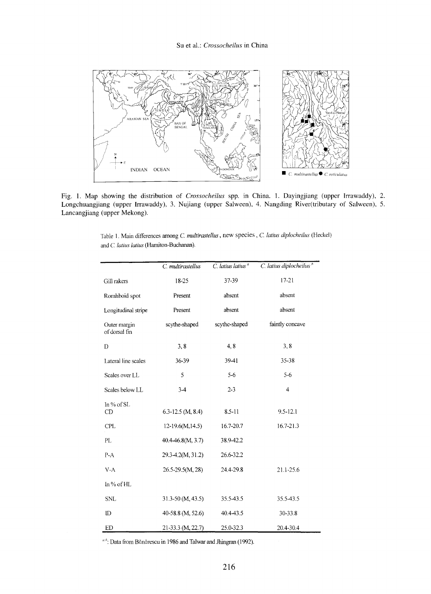

Fig. 1. Map showing the distribution of *Crossocheilus* spp. in China. 1. Dayingjiang (upper Irrawaddy), 2. Longchuangjiang (upper Irrawaddy), 3. Nujiang (upper Salween), 4. Nangding River(tributary of Salween), 5. Lancangjiang (upper Mekong).

Table I. Main differences among C. *multirastellus,* new species, C. *latius diplocheilus* (Heckel) and C. *latius latius* (Hamiton-Buchanan).

Ĭ.

|                               | C. multirastellus   | C. latius latius <sup>a</sup> | C. latius diplocheilus <sup>"</sup> |
|-------------------------------|---------------------|-------------------------------|-------------------------------------|
| Gill rakers                   | 18-25               | 37-39                         | $17 - 21$                           |
| Romhboid spot                 | Present             | absent                        | absent                              |
| Longitudinal stripe           | Present             | absent                        | absent                              |
| Outer margin<br>of dorsal fin | scythe-shaped       | scythe-shaped                 | faintly concave                     |
| D                             | 3, 8                | 4, 8                          | 3, 8                                |
| Lateral line scales           | 36-39               | 39-41                         | 35-38                               |
| Scales over LL                | 5                   | $5 - 6$                       | 5-6                                 |
| Scales below LL               | $3-4$               | $2 - 3$                       | 4                                   |
| In $%$ of SL<br>CD            | $6.3-12.5$ (M, 8.4) | 8.5-11                        | $9.5 - 12.1$                        |
| <b>CPL</b>                    | $12-19.6(M, 14.5)$  | 16.7-20.7                     | 16.7-21.3                           |
| PL                            | 40.4-46.8(M, 3.7)   | 38.9-42.2                     |                                     |
| $P-A$                         | 29.3-4.2(M, 31.2)   | 26.6-32.2                     |                                     |
| $V-A$                         | 26.5-29.5(M, 28)    | 24.4-29.8                     | 21.1-25.6                           |
| In % of HL                    |                     |                               |                                     |
| <b>SNL</b>                    | 31.3-50 (M, 43.5)   | 35.5-43.5                     | 35.5-43.5                           |
| ID                            | 40-58.8 (M, 52.6)   | 40.4-43.5                     | 30-33.8                             |
| ED                            | 21-33.3 (M, 22.7)   | 25.0-32.3                     | 20.4-30.4                           |

<sup>a h</sup>: Data from Bǎnǎrescu in 1986 and Talwar and Jhingran (1992).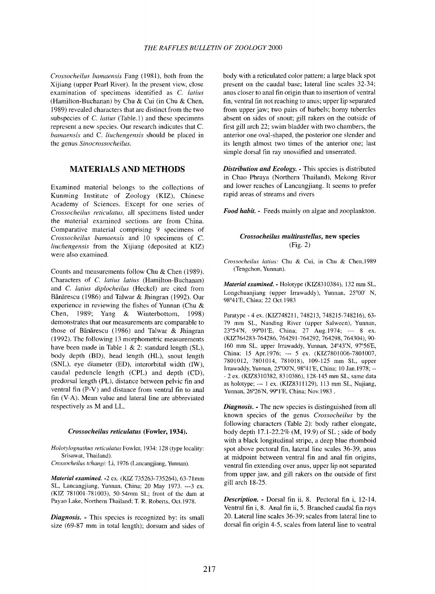*Crossocheilus bamaensis* Fang (1981), both from the Xijiang (upper Pearl River). In the present view, close examination of specimens identified as C. *latius* (Hamilton-Buchanan) by Chu & Cui (in Chu & Chen, 1989) revealed characters that are distinct from the two subspecies of *C. latius* (Table.1) and these specimens represent a new species. Our research indicates that C. *bamaensis* and C. *liuchengensis* should be placed in the genus *Sinocrossocheilus.*

# **MATERIALS AND METHODS**

Examined material belongs to the collections of Kunming Institute of Zoology (KIZ), Chinese Academy of Sciences. Except for one series of *Crossocheilus reticulatus,* all specimens listed under the material examined sections are from China. Comparative material comprising 9 specimens of *Crossocheilus bamaensis* and 10 specimens of C. *liuchengensis* from the Xijiang (deposited at KIZ) were also examined.

Counts and measurements follow Chu & Chen (1989). Characters of C. *latius latius* (Hamilton-Buchanan) and C. *latius diplocheilus* (Heckel) are cited from Bănărescu (1986) and Talwar & Jhingran (1992). Our experience in reviewing the fishes of Yunnan (Chu & Chen, 1989; Yang & Winterbottom, 1998) demonstrates that our measurements are comparable to those of Bănărescu (1986) and Talwar & Jhingran (1992). The following 13 morphometric measurements have been made in Table 1 & 2: standard length (SL), body depth (BD), head length (HL), snout length (SNL), eye diameter (ED), interorbital width (IW), caudal peduncle length (CPL) and depth (CD), predorsal length (PL), distance between pelvic fin and ventral fin (P-V) and distance from ventral fin to anal fin (V-A). Mean value and lateral line are abbreviated respectively as M and LL.

#### *Crossocheilus reticulatus* (Fowler, 1934).

*Holotylognathus reticulatus* Fowler, 1934: 128 (type locality: Srisawat, Thailand).

*Crossocheilus tchangi:* Li, 1976 (Lancangjiang, Yunnan).

*Material examined.* -2 ex. (KIZ 735263-735264), 63-71mm SL, Lancangjiang, Yunnan, China; 20 May 1973. ---3 ex. (KIZ 781001-781003), 50-54mm SL; front of the dam at Payao Lake, Northern Thailand; T. R. Roberts, Oct.1978.

*Diagnosis.* - This species is recognized by: its small size (69-87 mm in total length); dorsum and sides of body with a reticulated color pattern; a large black spot present on the caudal base; lateral line scales 32-34; anus closer to anal fin origin than to insertion of ventral fin, ventral fin not reaching to anus; upper lip separated from upper jaw; two pairs of barbels; horny tubercles absent on sides of snout; gill rakers on the outside of first gill arch 22; swim bladder with two chambers, the anterior one oval-shaped, the posterior one slender and its length almost two times of the anterior one; last simple dorsal fin ray unossified and unserrated.

*Distribution and Ecology.* - This species is distributed in Chao Phraya (Northern Thailand), Mekong River and lower reaches of Lancangjiang. It seems to prefer rapid areas of streams and rivers

*Food habit.* - Feeds mainly on algae and zooplankton.

### *Crossocheilus multirastellus,* new species (Fig. 2)

*Crossocheilus latius:* Chu & Cui, In Chu & Chen,1989 (Tengchon, Yunnan).

*Material examined.* - Ho1otype (KIZ83 10384), 132 mm SL, Longchuanjiang (upper Irrawaddy), Yunnan, 25°00' N, 98°41 'E, China; 22 Oct.1983

Paratype - 4 ex. (KIZ748211, 748213, 748215-748216), 63- 79 mm SL, Nanding River (upper Sa1ween), Yunnan, 23°54'N, 99°01 'E, China; 27 Aug.1974; --- 8 ex. (KIZ764283-764286, 764291-764292, 764298, 764304),90- 160 mm SL, upper Irrawaddy, Yunnan, 24°43'N, 97°56'E, China; 15 Apr. 1976; --- 5 ex. (KIZ7801006-7801007, 7801012, 7801014, 781018), 109-125 mm SL, upper Irrawaddy, Yunnan, 25°00'N, 98°41 'E, China; 10 Jan.1978; -- - 2 ex. (KIZ8310382, 8310386),128-145 mm SL, same data as holotype; --- 1 ex. (KIZ8311129), 113 mm SL, Nujiang, Yunnan, 26°26'N, 99°1'E, China; Nov.1983.

*Diagnosis.* - The new species is distinguished from all known species of the genus *Crossocheilus* by the following characters (Table 2): body rather elongate, body depth 17.1-22.2% (M, 19.9) of SL ; side of body with a black longitudinal stripe, a deep blue rhomboid spot above pectoral fin, lateral line scales 36-39, anus at midpoint between ventral fin and anal fin origins, ventral fin extending over anus, upper lip not separated from upper jaw, and gill rakers on the outside of first gill arch 18-25.

*Description.* - Dorsal fin ii, 8. Pectoral fin i, 12-14. Ventral fin i, 8. Anal fin ii, 5. Branched caudal fin rays 20. Lateral line scales 36-39; scales from lateral line to dorsal fin origin 4-5, scales from lateral line to ventral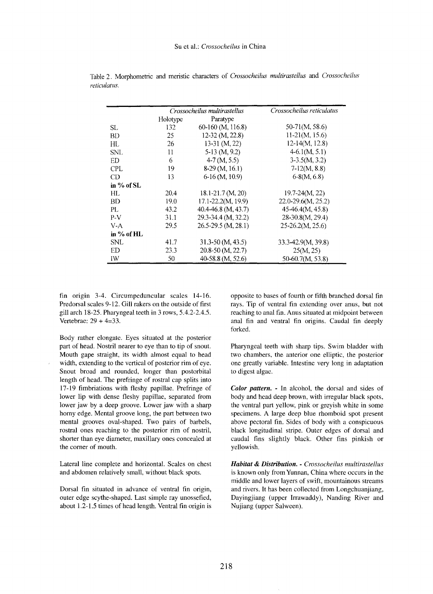|              | Crossocheilus multirastellus |                       | Crossocheilus reticulatus |
|--------------|------------------------------|-----------------------|---------------------------|
|              | Holotype                     | Paratype              |                           |
| SL.          | 132                          | 60-160 (M, 116.8)     | 50-71(M, 58.6)            |
| <b>BD</b>    | 25                           | 12-32 (M, 22.8)       | $11-21(M, 15.6)$          |
| HL           | 26                           | $13-31$ (M, 22)       | $12-14(M, 12.8)$          |
| <b>SNL</b>   | 11                           | $5-13$ (M, 9.2)       | $4-6.1(M, 5.1)$           |
| <b>ED</b>    | 6                            | $4-7(M, 5.5)$         | $3-3.5(M, 3.2)$           |
| <b>CPL</b>   | 19                           | $8-29$ (M, 16.1)      | $7-12(M, 8.8)$            |
| CD           | 13                           | $6-16$ (M, 10.9)      | $6-8(M, 6.8)$             |
| in $%$ of SL |                              |                       |                           |
| HL           | 20.4                         | 18.1-21.7 (M, 20)     | $19.7 - 24(M, 22)$        |
| BD           | 19.0                         | 17.1-22.2(M, 19.9)    | 22.0-29.6(M, 25.2)        |
| PL           | 43.2                         | 40.4-46.8 (M, 43.7)   | 45-46.4(M, 45.8)          |
| $P-V$        | 31.1                         | 29.3-34.4 (M, 32.2)   | 28-30.8(M, 29.4)          |
| $V-A$        | 29.5                         | 26.5-29.5 (M, 28.1)   | $25-26.2(M, 25.6)$        |
| in $%$ of HL |                              |                       |                           |
| <b>SNL</b>   | 41.7                         | $31.3 - 50$ (M, 43.5) | 33.3-42.9(M, 39.8)        |
| ED           | 23.3                         | 20.8-50 (M, 22.7)     | 25(M, 25)                 |
| IW           | 50                           | 40-58.8 (M, 52.6)     | 50-60.7(M, 53.8)          |

Table 2. Morphometric and meristic characters of *Crossocheilus multirastellus* and *Crossocheilus reticulatus.*

fin origin 3-4. Circumpeduncular scales 14-16. Predorsal scales 9-12. Gill rakers on the outside of first gill arch 18-25. Pharyngeal teeth in 3 rows, 5.4.2-2.4.5. Vertebrae: 29 + 4=33.

Body rather elongate. Eyes situated at the posterior part of head. Nostril nearer to eye than to tip of snout. Mouth gape straight, its width almost equal to head width, extending to the vertical of posterior rim of eye. Snout broad and rounded, longer than postorbital length of head. The prefringe of rostral cap splits into 17-19 fimbriations with fleshy papillae. Prefringe of lower lip with dense fleshy papillae, separated from lower jaw by a deep groove. Lower jaw with a sharp horny edge. Mental groove long, the part between two mental grooves oval-shaped. Two pairs of barbels, rostral ones reaching to the posterior rim of nostril, shorter than eye diameter, maxillary ones concealed at the corner of mouth.

Lateral line complete and horizontal. Scales on chest and abdomen relatively small, without black spots.

Dorsal fin situated in advance of ventral fin origin, outer edge scythe-shaped. Last simple ray unossefied, about 1.2-1.5 times of head length. Ventral fin origin is

opposite to bases of fourth or fifth branched dorsal fin rays. Tip of ventral fin extending over anus, but not reaching to anal fin. Anus situated at midpoint between anal fin and ventral fin origins. Caudal fin deeply forked.

Pharyngeal teeth with sharp tips. Swim bladder with two chambers, the anterior one elliptic, the posterior one greatly variable. Intestine very long in adaptation to digest algae.

*Color pattern.* - In alcohol, the dorsal and sides of body and head deep brown, with irregular black spots, the ventral part yellow, pink or greyish white in some specimens. A large deep blue rhomboid spot present above pectoral fin. Sides of body with a conspicuous black longitudinal stripe. Outer edges of dorsal and caudal fins slightly black. Other fins pinkish or yellowish.

*Habitat* & *Distribution.* - *Crossocheilus multirastellus* is known only from Yunnan, China where occurs in the middle and lower layers of swift, mountainous streams and rivers. It has been collected from Longchuanjiang, Dayingjiang (upper Irrawaddy), Nanding River and Nujiang (upper Salween).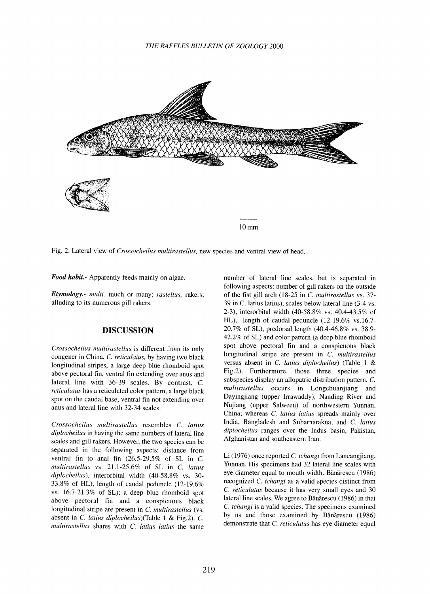

Fig. 2. Lateral view of *Crossocheilus multirastellus,* new species and ventral view of head.

*Food habit.-* Apparently feeds mainly on algae.

*Etymology.- multi,* much or many; *rastellus,* rakers; alluding to its numerous gill rakers.

## **DISCUSSION**

*Crossocheilus multirastellus* is different from its only congener in China, C. *reticulatus,* by having two black longitudinal stripes, a large deep blue rhomboid spot above pectoral fin, ventral fin extending over anus and lateral line with 36-39 scales. By contrast, C. *reticulatus* has a reticulated color pattern, a large black spot on the caudal base, ventral fin not extending over anus and lateral line with 32-34 scales.

*Crossocheilus multirastellus* resembles C. *latius diplocheilus* in having the same numbers of lateral line scales and gill rakers. However, the two species can be separated in the following aspects: distance from ventral fin to anal fin  $(26.5-29.5\%$  of SL in C. *multirastellus* vs. 21.1-25.6% of SL in C. *latius diplocheilus),* interorbital width (40-58.8% vs. 30- 33.8% of HL), length of caudal peduncle (12-19.6% vs. 16.7-21.3% of SL); a deep blue rhomboid spot above pectoral fin and a conspicuous black longitudinal stripe are present in C. *multirastellus* (vs. absent in C. *latius diplocheilus)(Table* 1 & Fig.2). C. *multirastellus* shares with C. *latius latius* the same

number of lateral line scales, but is separated in following aspects: number of gill rakers on the outside of the fist gill arch (18-25 in C. *multirastellus* vs. 37- 39 in C. latius latius), scales below lateral line (3-4 vs. 2-3), interorbital width (40-58.8% vs. 40.4-43.5% of HL), length of caudal peduncle (12-19.6% vs.16.7- 20.7% of SL), predorsal length (40.4-46.8% vs. 38.9-42.2% of SL) and color pattern (a deep blue rhomboid spot above pectoral fin and a conspicuous black longitudinal stripe are present in C. *multirastellus* versus absent in C. *latius diplocheilus)* (Table 1 & Fig.2). Furthermore, those three species and subspecies display an allopatric distribution pattern. C. *multirastellus* occurs in Longchuanjiang and Dayingjiang (upper Irrawaddy), Nanding River and Nujiang (upper Salween) of northwestern Yunnan, China; whereas C. *latius latius* spreads mainly over India, Bangladesh and Subarnarakna, and C. *latius diplocheilus* ranges over the Indus basin, Pakistan, Afghanistan and southeastern Iran.

Li (1976) once reported C. *tchangi* from Lancangjiang, Yunnan. His specimens had 32 lateral line scales with eye diameter equal to mouth width. Bănărescu (1986) recognized C. *tchangi* as a valid species distinct from C. *reticulatus* because it has very small eyes and 30 lateral line scales. We agree to Bănărescu (1986) in that C. *tchangi* is a valid species. The specimens examined by us and those examined by Bănărescu (1986) demonstrate that C. *reticulatus* has eye diameter equal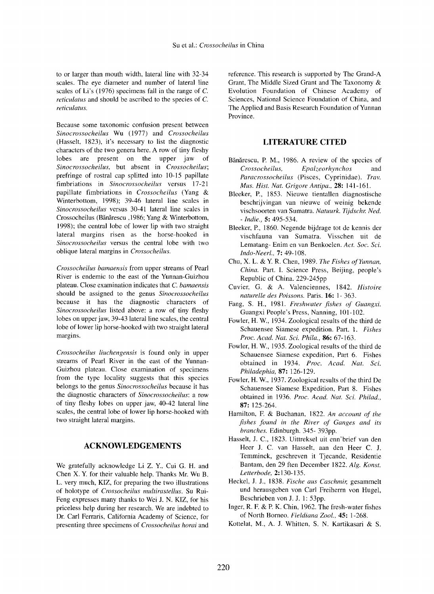to or larger than mouth width, lateral line with 32-34 scales. The eye diameter and number of lateral line scales of Li's (1976) specimens fall in the range of C. *reticulatus* and should be ascribed to the species of C. *reticulatus.*

Because some taxonomic confusion present between *Sinocrossocheilus* Wu (1977) and *Crossocheilus* (Hasselt, 1823), it's necessary to list the diagnostic characters of the two genera here. A row of tiny fleshy lobes are present on the upper jaw of *Sinocrossocheilus,* but absent in *Crossocheilus;* prefringe of rostral cap splitted into 10-15 papillate fimbriations in *Sinocrossocheilus* versus 17-21 papillate fimbriations in *Crossocheilus* (Yang & Winterbottom, 1998); 39-46 lateral line scales in *Sinocrossocheilus* versus 30-41 lateral line scales in Crossocheilus (Bănărescu ,1986; Yang & Winterbottom, 1998); the central lobe of lower lip with two straight lateral margins risen as the horse-hooked in *Sinocrossocheilus* versus the central lobe with two oblique lateral margins in *Crossocheilus.*

*Crossocheilus bamaensis* from upper streams of Pearl River is endemic to the east of the Yunnan-Guizhou plateau. Close examination indicates that C. *bamaensis* should be assigned to the genus *Sinocrossocheilus* because it has the diagnostic characters of *Sinocrossocheilus* listed above: a row of tiny fleshy lobes on upper jaw, 39-43 lateral line scales, the central lobe of lower lip horse-hooked with two straight lateral margins.

*Crossocheilus liuchengensis* is found only in upper streams of Pearl River in the east of the Yunnan-Guizhou plateau. Close examination of specimens from the type locality suggests that this species belongs to the genus *Sinocrossocheilus* because it has the diagnostic characters of *Sinocrossocheilus:* a row of tiny fleshy lobes on upper jaw, 40-42 lateral line scales, the central lobe of lower lip horse-hooked with two straight lateral margins.

### **ACKNOWLEDGEMENTS**

We gratefully acknowledge Li Z. Y, Cui G. H. and Chen X. Y. for their valuable help. Thanks Mr. Wu B. L. very much, KIZ, for preparing the two illustrations of holotype of *Crossocheilus multirastellus.* Su Rui-Feng expresses many thanks to Wei J. N. KIZ, for his priceless help during her research. We are indebted to Dr. Carl Ferraris, California Academy of Science, for presenting three specimens of *Crossocheilus horai* and

reference. This research is supported by The Grand-A Grant, The Middle Sized Grant and The Taxonomy & Evolution Foundation of Chinese Academy of Sciences, National Science Foundation of China, and The Applied and Basis Research Foundation of Yunnan Province.

### **LITERATURE CITED**

- Bănărescu, P. M., 1986. A review of the species of *Crossocheilus, Epalzeorhynchos* and *Paracrossocheilus* (Pisces, Cyprinidae). *Trav. Mus. Hist. Nat. Grigore Antipa.,* **28:** 141-161.
- Bleeker, P., 1853. Nieuwe tientallen diagnostische beschrijvingan van nieuwe of weinig bekende vischsoorten van Sumatra. *Natuurk. Tijdschr. Ned. - Indie.,* **5:** 495-534.
- Bleeker, P., 1860. Negende bijdrage tot de kennis der vischfauna van Sumatra. Visschen uit de Lematang- Enim en van Benkoelen. *Act. Soc. Sci. Indo-Neer!.,* **7:** 49-108.
- Chu, X. L. & Y. R. Chen, 1989. *The Fishes of Yunnan*, *China.* Part. I. Science Press, Beijing, people's Republic of China. 229-245pp
- Cuvier, G. & A. Valenciennes, 1842. *Histoire naturelle des Poissons.* Paris. **16:** 1- 363.
- Fang, S. H., 1981. *Freshwater fishes of Guangxi.* Guangxi People's Press, Nanning, 101-102.
- Fowler, H. W., 1934. Zoological results of the third de Schauensee Siamese expedition. Part. 1. *Fishes Proc. Acad. Nat. Sci. Phila.,* **86:** 67-163.
- Fowler, H. W., 1935. Zoological results of the third de Schauensee Siamese expedition, Part 6. Fishes obtained in 1934. *Proc. Acad. Nat. Sci. Philadephia,* **87:** 126-129.
- Fowler, H. W., 1937. Zoological results of the third De Schauensee Siamese Expedition, Part 8. Fishes obtained in 1936. *Proc. Acad. Nat. Sci. Philad.,* **87:** 125-264.
- Hamilton, F. & Buchanan, 1822. *An account of the fishes found in the River of Ganges and its branches.* Edinburgh. 345- 393pp.
- Hasselt, 1. c., 1823. Uittreksel uit enn'brief van den Heer J. C. van Hasselt, aan den Heer C. J. Temminck, geschreven it Tjecande, Residentie Bantam, den 29 ften December 1822. *Alg. Konst. Letterbode,* 2:130-135.
- Heckel, J. *l.,* 1838. *Fische aus Caschmir,* gesammelt und herausgeben von Carl Freiherrn von Hugel, Beschrieben von 1. *l.* 1: 53pp.
- Inger, R. F. & P. K. Chin, 1962. The fresh-water fishes of North Borneo. *Fieldiana Zoo!.,* **45:** 1-268.
- Kottelat, M., A. J. Whitten, S. N. Kartikasari & S.